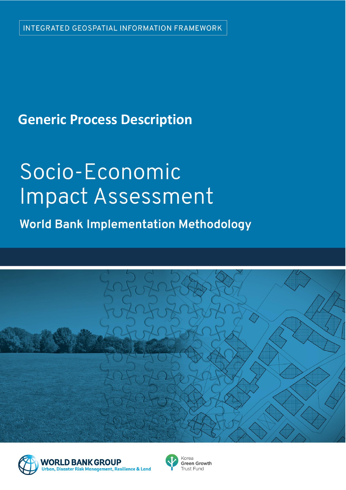# **Generic Process Description**

# Socio-Economic Impact Assessment

**World Bank Implementation Methodology** 





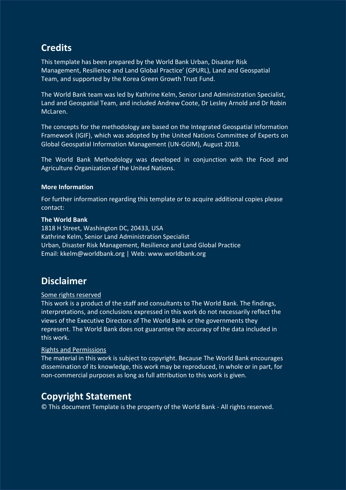## **Credits**

This template has been prepared by the World Bank Urban, Disaster Risk Management, Resilience and Land Global Practice' (GPURL), Land and Geospatial Team, and supported by the Korea Green Growth Trust Fund.

The World Bank team was led by Kathrine Kelm, Senior Land Administration Specialist, Land and Geospatial Team, and included Andrew Coote, Dr Lesley Arnold and Dr Robin McLaren.

The concepts for the methodology are based on the Integrated Geospatial Information Framework (IGIF), which was adopted by the United Nations Committee of Experts on Global Geospatial Information Management (UN-GGIM), August 2018.

The World Bank Methodology was developed in conjunction with the Food and Agriculture Organization of the United Nations.

#### **More Information**

For further information regarding this template or to acquire additional copies please contact:

#### **The World Bank**

1818 H Street, Washington DC, 20433, USA Kathrine Kelm, Senior Land Administration Specialist Urban, Disaster Risk Management, Resilience and Land Global Practice Email: kkelm@worldbank.org | Web: www.worldbank.org

### **Disclaimer**

#### Some rights reserved

This work is a product of the staff and consultants to The World Bank. The findings, interpretations, and conclusions expressed in this work do not necessarily reflect the views of the Executive Directors of The World Bank or the governments they represent. The World Bank does not guarantee the accuracy of the data included in this work.

#### Rights and Permissions

The material in this work is subject to copyright. Because The World Bank encourages dissemination of its knowledge, this work may be reproduced, in whole or in part, for non-commercial purposes as long as full attribution to this work is given.

### **Copyright Statement**

© This document Template is the property of the World Bank - All rights reserved.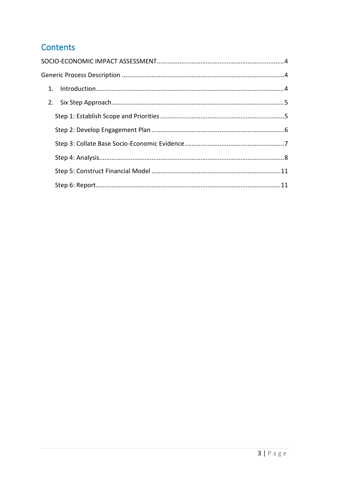### Contents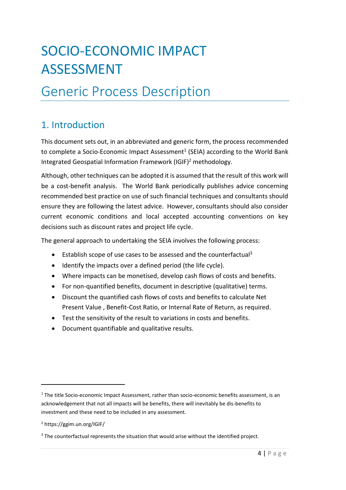# <span id="page-3-0"></span>SOCIO-ECONOMIC IMPACT ASSESSMENT

# <span id="page-3-1"></span>Generic Process Description

# <span id="page-3-2"></span>1. Introduction

This document sets out, in an abbreviated and generic form, the process recommended to complete a Socio-Economic Impact Assessment<sup>1</sup> (SEIA) according to the World Bank Integrated Geospatial Information Framework (IGIF)<sup>2</sup> methodology.

Although, other techniques can be adopted it is assumed that the result of this work will be a cost-benefit analysis. The World Bank periodically publishes advice concerning recommended best practice on use of such financial techniques and consultants should ensure they are following the latest advice. However, consultants should also consider current economic conditions and local accepted accounting conventions on key decisions such as discount rates and project life cycle.

The general approach to undertaking the SEIA involves the following process:

- Establish scope of use cases to be assessed and the counterfactual<sup>3</sup>
- Identify the impacts over a defined period (the life cycle).
- Where impacts can be monetised, develop cash flows of costs and benefits.
- For non-quantified benefits, document in descriptive (qualitative) terms.
- Discount the quantified cash flows of costs and benefits to calculate Net Present Value , Benefit-Cost Ratio, or Internal Rate of Return, as required.
- Test the sensitivity of the result to variations in costs and benefits.
- Document quantifiable and qualitative results.

 $1$  The title Socio-economic Impact Assessment, rather than socio-economic benefits assessment, is an acknowledgement that not all impacts will be benefits, there will inevitably be dis-benefits to investment and these need to be included in any assessment.

<sup>2</sup> https://ggim.un.org/IGIF/

<sup>&</sup>lt;sup>3</sup> The counterfactual represents the situation that would arise without the identified project.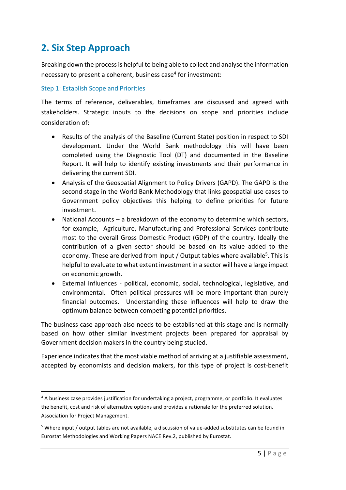# <span id="page-4-0"></span>**2. Six Step Approach**

Breaking down the processis helpful to being able to collect and analyse the information necessary to present a coherent, business case<sup>4</sup> for investment:

#### <span id="page-4-1"></span>Step 1: Establish Scope and Priorities

The terms of reference, deliverables, timeframes are discussed and agreed with stakeholders. Strategic inputs to the decisions on scope and priorities include consideration of:

- Results of the analysis of the Baseline (Current State) position in respect to SDI development. Under the World Bank methodology this will have been completed using the Diagnostic Tool (DT) and documented in the Baseline Report. It will help to identify existing investments and their performance in delivering the current SDI.
- Analysis of the Geospatial Alignment to Policy Drivers (GAPD). The GAPD is the second stage in the World Bank Methodology that links geospatial use cases to Government policy objectives this helping to define priorities for future investment.
- National Accounts a breakdown of the economy to determine which sectors, for example, Agriculture, Manufacturing and Professional Services contribute most to the overall Gross Domestic Product (GDP) of the country. Ideally the contribution of a given sector should be based on its value added to the economy. These are derived from Input / Output tables where available<sup>5</sup>. This is helpful to evaluate to what extent investment in a sector will have a large impact on economic growth.
- External influences political, economic, social, technological, legislative, and environmental. Often political pressures will be more important than purely financial outcomes. Understanding these influences will help to draw the optimum balance between competing potential priorities.

The business case approach also needs to be established at this stage and is normally based on how other similar investment projects been prepared for appraisal by Government decision makers in the country being studied.

Experience indicates that the most viable method of arriving at a justifiable assessment, accepted by economists and decision makers, for this type of project is cost-benefit

<sup>4</sup> A business case provides justification for undertaking a project, programme, or portfolio. It evaluates the benefit, cost and risk of alternative options and provides a rationale for the preferred solution. Association for Project Management.

<sup>5</sup> Where input / output tables are not available, a discussion of value-added substitutes can be found in Eurostat Methodologies and Working Papers NACE Rev.2, published by Eurostat.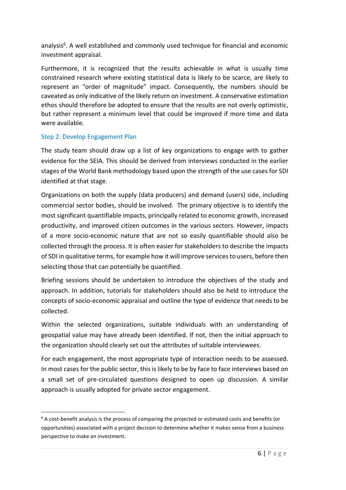analysis<sup>6</sup>. A well established and commonly used technique for financial and economic investment appraisal.

Furthermore, it is recognized that the results achievable in what is usually time constrained research where existing statistical data is likely to be scarce, are likely to represent an "order of magnitude" impact. Consequently, the numbers should be caveated as only indicative of the likely return on investment. A conservative estimation ethos should therefore be adopted to ensure that the results are not overly optimistic, but rather represent a minimum level that could be improved if more time and data were available.

#### <span id="page-5-0"></span>Step 2: Develop Engagement Plan

The study team should draw up a list of key organizations to engage with to gather evidence for the SEIA. This should be derived from interviews conducted in the earlier stages of the World Bank methodology based upon the strength of the use cases for SDI identified at that stage.

Organizations on both the supply (data producers) and demand (users) side, including commercial sector bodies, should be involved. The primary objective is to identify the most significant quantifiable impacts, principally related to economic growth, increased productivity, and improved citizen outcomes in the various sectors. However, impacts of a more socio-economic nature that are not so easily quantifiable should also be collected through the process. It is often easier for stakeholders to describe the impacts of SDI in qualitative terms, for example how it will improve services to users, before then selecting those that can potentially be quantified.

Briefing sessions should be undertaken to introduce the objectives of the study and approach. In addition, tutorials for stakeholders should also be held to introduce the concepts of socio-economic appraisal and outline the type of evidence that needs to be collected.

Within the selected organizations, suitable individuals with an understanding of geospatial value may have already been identified. If not, then the initial approach to the organization should clearly set out the attributes of suitable interviewees.

For each engagement, the most appropriate type of interaction needs to be assessed. In most cases for the public sector, this is likely to be by face to face interviews based on a small set of pre-circulated questions designed to open up discussion. A similar approach is usually adopted for private sector engagement.

<sup>6</sup> A cost-benefit analysis is the process of comparing the projected or estimated costs and benefits (or opportunities) associated with a project decision to determine whether it makes sense from a business perspective to make an investment.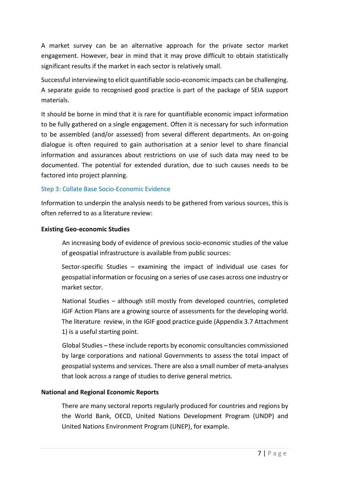A market survey can be an alternative approach for the private sector market engagement. However, bear in mind that it may prove difficult to obtain statistically significant results if the market in each sector is relatively small.

Successful interviewing to elicit quantifiable socio-economic impacts can be challenging. A separate guide to recognised good practice is part of the package of SEIA support materials.

It should be borne in mind that it is rare for quantifiable economic impact information to be fully gathered on a single engagement. Often it is necessary for such information to be assembled (and/or assessed) from several different departments. An on-going dialogue is often required to gain authorisation at a senior level to share financial information and assurances about restrictions on use of such data may need to be documented. The potential for extended duration, due to such causes needs to be factored into project planning.

#### <span id="page-6-0"></span>Step 3: Collate Base Socio-Economic Evidence

Information to underpin the analysis needs to be gathered from various sources, this is often referred to as a literature review:

#### **Existing Geo-economic Studies**

An increasing body of evidence of previous socio-economic studies of the value of geospatial infrastructure is available from public sources:

Sector-specific Studies – examining the impact of individual use cases for geospatial information or focusing on a series of use cases across one industry or market sector.

National Studies – although still mostly from developed countries, completed IGIF Action Plans are a growing source of assessments for the developing world. The literature review, in the IGIF good practice guide (Appendix 3.7 Attachment 1) is a useful starting point.

Global Studies – these include reports by economic consultancies commissioned by large corporations and national Governments to assess the total impact of geospatial systems and services. There are also a small number of meta-analyses that look across a range of studies to derive general metrics.

#### **National and Regional Economic Reports**

There are many sectoral reports regularly produced for countries and regions by the World Bank, OECD, United Nations Development Program (UNDP) and United Nations Environment Program (UNEP), for example.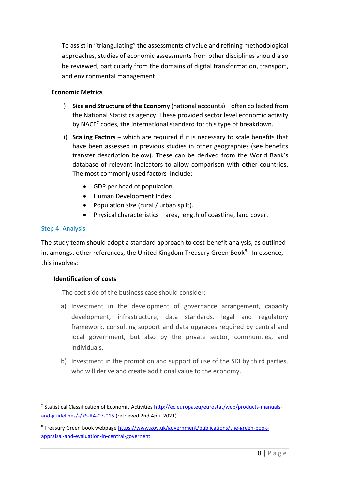To assist in "triangulating" the assessments of value and refining methodological approaches, studies of economic assessments from other disciplines should also be reviewed, particularly from the domains of digital transformation, transport, and environmental management.

#### **Economic Metrics**

- i) **Size and Structure of the Economy** (national accounts) often collected from the National Statistics agency. These provided sector level economic activity by NACE<sup>7</sup> codes, the international standard for this type of breakdown.
- ii) **Scaling Factors** which are required if it is necessary to scale benefits that have been assessed in previous studies in other geographies (see benefits transfer description below). These can be derived from the World Bank's database of relevant indicators to allow comparison with other countries. The most commonly used factors include:
	- GDP per head of population.
	- Human Development Index.
	- Population size (rural / urban split).
	- Physical characteristics area, length of coastline, land cover.

#### <span id="page-7-0"></span>Step 4: Analysis

The study team should adopt a standard approach to cost-benefit analysis, as outlined in, amongst other references, the United Kingdom Treasury Green Book<sup>8</sup>. In essence, this involves:

#### **Identification of costs**

The cost side of the business case should consider:

- a) Investment in the development of governance arrangement, capacity development, infrastructure, data standards, legal and regulatory framework, consulting support and data upgrades required by central and local government, but also by the private sector, communities, and individuals.
- b) Investment in the promotion and support of use of the SDI by third parties, who will derive and create additional value to the economy.

<sup>&</sup>lt;sup>7</sup> Statistical Classification of Economic Activities [http://ec.europa.eu/eurostat/web/products-manuals](http://ec.europa.eu/eurostat/web/products-manuals-and-guidelines/-/KS-RA-07-015)[and-guidelines/-/KS-RA-07-015](http://ec.europa.eu/eurostat/web/products-manuals-and-guidelines/-/KS-RA-07-015) (retrieved 2nd April 2021)

<sup>&</sup>lt;sup>8</sup> Treasury Green book webpage [https://www.gov.uk/government/publications/the-green-book](https://www.gov.uk/government/publications/the-green-book-appraisal-and-evaluation-in-central-governent)[appraisal-and-evaluation-in-central-governent](https://www.gov.uk/government/publications/the-green-book-appraisal-and-evaluation-in-central-governent)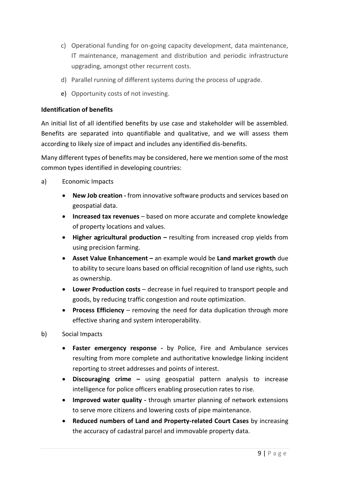- c) Operational funding for on-going capacity development, data maintenance, IT maintenance, management and distribution and periodic infrastructure upgrading, amongst other recurrent costs.
- d) Parallel running of different systems during the process of upgrade.
- e) Opportunity costs of not investing.

#### **Identification of benefits**

An initial list of all identified benefits by use case and stakeholder will be assembled. Benefits are separated into quantifiable and qualitative, and we will assess them according to likely size of impact and includes any identified dis-benefits.

Many different types of benefits may be considered, here we mention some of the most common types identified in developing countries:

- a) Economic Impacts
	- **New Job creation -** from innovative software products and services based on geospatial data.
	- **Increased tax revenues** based on more accurate and complete knowledge of property locations and values.
	- **Higher agricultural production –** resulting from increased crop yields from using precision farming.
	- **Asset Value Enhancement –** an example would be **Land market growth** due to ability to secure loans based on official recognition of land use rights, such as ownership.
	- **Lower Production costs** decrease in fuel required to transport people and goods, by reducing traffic congestion and route optimization.
	- **Process Efficiency** removing the need for data duplication through more effective sharing and system interoperability.
- b) Social Impacts
	- **Faster emergency response -** by Police, Fire and Ambulance services resulting from more complete and authoritative knowledge linking incident reporting to street addresses and points of interest.
	- **Discouraging crime –** using geospatial pattern analysis to increase intelligence for police officers enabling prosecution rates to rise.
	- **Improved water quality -** through smarter planning of network extensions to serve more citizens and lowering costs of pipe maintenance.
	- **Reduced numbers of Land and Property-related Court Cases** by increasing the accuracy of cadastral parcel and immovable property data.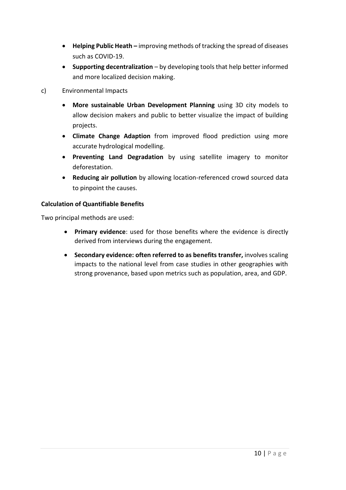- **Helping Public Heath –** improving methods of tracking the spread of diseases such as COVID-19.
- **Supporting decentralization** by developing tools that help better informed and more localized decision making.
- c) Environmental Impacts
	- **More sustainable Urban Development Planning** using 3D city models to allow decision makers and public to better visualize the impact of building projects.
	- **Climate Change Adaption** from improved flood prediction using more accurate hydrological modelling.
	- **Preventing Land Degradation** by using satellite imagery to monitor deforestation.
	- **Reducing air pollution** by allowing location-referenced crowd sourced data to pinpoint the causes.

#### **Calculation of Quantifiable Benefits**

Two principal methods are used:

- **Primary evidence**: used for those benefits where the evidence is directly derived from interviews during the engagement.
- **Secondary evidence: often referred to as benefits transfer,** involves scaling impacts to the national level from case studies in other geographies with strong provenance, based upon metrics such as population, area, and GDP.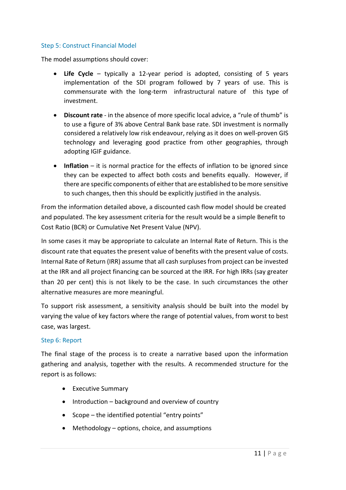#### <span id="page-10-0"></span>Step 5: Construct Financial Model

The model assumptions should cover:

- **Life Cycle** typically a 12-year period is adopted, consisting of 5 years implementation of the SDI program followed by 7 years of use. This is commensurate with the long-term infrastructural nature of this type of investment.
- **Discount rate**  in the absence of more specific local advice, a "rule of thumb" is to use a figure of 3% above Central Bank base rate. SDI investment is normally considered a relatively low risk endeavour, relying as it does on well-proven GIS technology and leveraging good practice from other geographies, through adopting IGIF guidance.
- **Inflation** it is normal practice for the effects of inflation to be ignored since they can be expected to affect both costs and benefits equally. However, if there are specific components of either that are established to be more sensitive to such changes, then this should be explicitly justified in the analysis.

From the information detailed above, a discounted cash flow model should be created and populated. The key assessment criteria for the result would be a simple Benefit to Cost Ratio (BCR) or Cumulative Net Present Value (NPV).

In some cases it may be appropriate to calculate an Internal Rate of Return. This is the discount rate that equates the present value of benefits with the present value of costs. Internal Rate of Return (IRR) assume that all cash surpluses from project can be invested at the IRR and all project financing can be sourced at the IRR. For high IRRs (say greater than 20 per cent) this is not likely to be the case. In such circumstances the other alternative measures are more meaningful.

To support risk assessment, a sensitivity analysis should be built into the model by varying the value of key factors where the range of potential values, from worst to best case, was largest.

#### <span id="page-10-1"></span>Step 6: Report

The final stage of the process is to create a narrative based upon the information gathering and analysis, together with the results. A recommended structure for the report is as follows:

- Executive Summary
- Introduction background and overview of country
- Scope the identified potential "entry points"
- Methodology options, choice, and assumptions